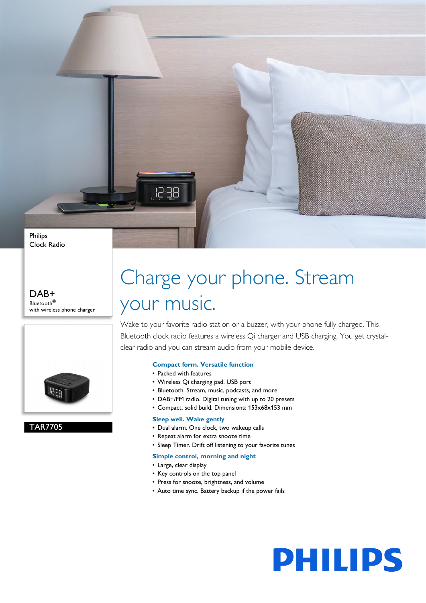Philips Clock Radio

#### DAB+ Bluetooth® with wireless phone charger



### TAR7705

## Charge your phone. Stream your music.

Wake to your favorite radio station or a buzzer, with your phone fully charged. This Bluetooth clock radio features a wireless Qi charger and USB charging. You get crystalclear radio and you can stream audio from your mobile device.

#### **Compact form. Versatile function**

• Packed with features

12:38

- Wireless Qi charging pad. USB port
- Bluetooth. Stream, music, podcasts, and more
- DAB+/FM radio. Digital tuning with up to 20 presets
- Compact, solid build. Dimensions: 153x68x153 mm

#### **Sleep well. Wake gently**

- Dual alarm. One clock, two wakeup calls
- Repeat alarm for extra snooze time
- Sleep Timer. Drift off listening to your favorite tunes

#### **Simple control, morning and night**

- Large, clear display
- Key controls on the top panel
- Press for snooze, brightness, and volume
- Auto time sync. Battery backup if the power fails

# **PHILIPS**